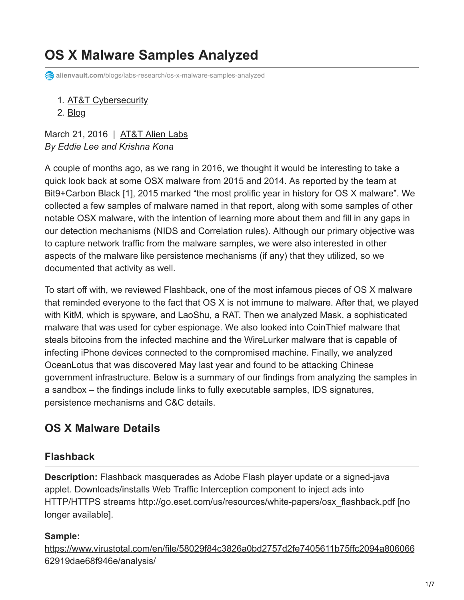# **OS X Malware Samples Analyzed**

**alienvault.com**[/blogs/labs-research/os-x-malware-samples-analyzed](https://www.alienvault.com/blogs/labs-research/os-x-malware-samples-analyzed)

1. [AT&T Cybersecurity](https://cybersecurity.att.com/)

2. [Blog](https://cybersecurity.att.com/blogs)

March 21, 2016 | [AT&T Alien Labs](https://www.alienvault.com/blogs/author/att-alien-labs) *By Eddie Lee and Krishna Kona*

A couple of months ago, as we rang in 2016, we thought it would be interesting to take a quick look back at some OSX malware from 2015 and 2014. As reported by the team at Bit9+Carbon Black [1], 2015 marked "the most prolific year in history for OS X malware". We collected a few samples of malware named in that report, along with some samples of other notable OSX malware, with the intention of learning more about them and fill in any gaps in our detection mechanisms (NIDS and Correlation rules). Although our primary objective was to capture network traffic from the malware samples, we were also interested in other aspects of the malware like persistence mechanisms (if any) that they utilized, so we documented that activity as well.

To start off with, we reviewed Flashback, one of the most infamous pieces of OS X malware that reminded everyone to the fact that OS X is not immune to malware. After that, we played with KitM, which is spyware, and LaoShu, a RAT. Then we analyzed Mask, a sophisticated malware that was used for cyber espionage. We also looked into CoinThief malware that steals bitcoins from the infected machine and the WireLurker malware that is capable of infecting iPhone devices connected to the compromised machine. Finally, we analyzed OceanLotus that was discovered May last year and found to be attacking Chinese government infrastructure. Below is a summary of our findings from analyzing the samples in a sandbox – the findings include links to fully executable samples, IDS signatures, persistence mechanisms and C&C details.

# **OS X Malware Details**

## **Flashback**

**Description:** Flashback masquerades as Adobe Flash player update or a signed-java applet. Downloads/installs Web Traffic Interception component to inject ads into HTTP/HTTPS streams http://go.eset.com/us/resources/white-papers/osx\_flashback.pdf [no longer available].

## **Sample:**

[https://www.virustotal.com/en/file/58029f84c3826a0bd2757d2fe7405611b75ffc2094a806066](https://www.virustotal.com/en/file/58029f84c3826a0bd2757d2fe7405611b75ffc2094a80606662919dae68f946e/analysis/) 62919dae68f946e/analysis/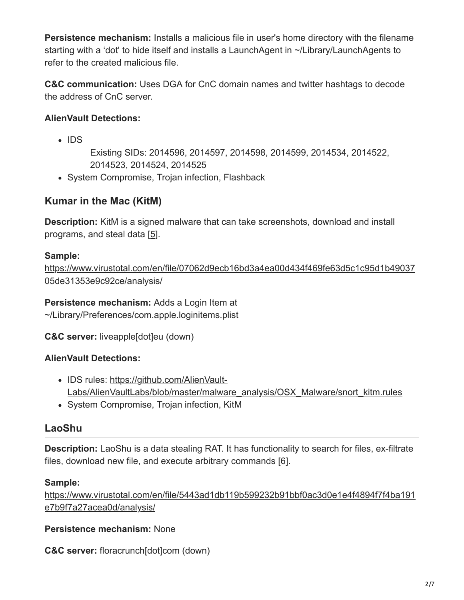**Persistence mechanism:** Installs a malicious file in user's home directory with the filename starting with a 'dot' to hide itself and installs a LaunchAgent in ~/Library/LaunchAgents to refer to the created malicious file.

**C&C communication:** Uses DGA for CnC domain names and twitter hashtags to decode the address of CnC server.

#### **AlienVault Detections:**

 $\cdot$  IDS

Existing SIDs: 2014596, 2014597, 2014598, 2014599, 2014534, 2014522, 2014523, 2014524, 2014525

• System Compromise, Trojan infection, Flashback

## **Kumar in the Mac (KitM)**

**Description:** KitM is a signed malware that can take screenshots, download and install programs, and steal data [[5](https://www.f-secure.com/weblog/archives/00002558.html)].

#### **Sample:**

[https://www.virustotal.com/en/file/07062d9ecb16bd3a4ea00d434f469fe63d5c1c95d1b49037](https://www.virustotal.com/en/file/07062d9ecb16bd3a4ea00d434f469fe63d5c1c95d1b4903705de31353e9c92ce/analysis/) 05de31353e9c92ce/analysis/

**Persistence mechanism:** Adds a Login Item at ~/Library/Preferences/com.apple.loginitems.plist

**C&C server:** liveapple[dot]eu (down)

#### **AlienVault Detections:**

- IDS rules: https://github.com/AlienVault-[Labs/AlienVaultLabs/blob/master/malware\\_analysis/OSX\\_Malware/snort\\_kitm.rules](http://github.com/AlienVault-Labs/AlienVaultLabs/blob/master/malware_analysis/OSX_Malware/snort_kitm.rules)
- System Compromise, Trojan infection, KitM

## **LaoShu**

**Description:** LaoShu is a data stealing RAT. It has functionality to search for files, ex-filtrate files, download new file, and execute arbitrary commands [\[6](https://nakedsecurity.sophos.com/2014/01/21/data-stealing-malware-targets-mac-users-in-undelivered-courier-item-attack/)].

#### **Sample:**

[https://www.virustotal.com/en/file/5443ad1db119b599232b91bbf0ac3d0e1e4f4894f7f4ba191](https://www.virustotal.com/en/file/5443ad1db119b599232b91bbf0ac3d0e1e4f4894f7f4ba191e7b9f7a27acea0d/analysis/) e7b9f7a27acea0d/analysis/

**Persistence mechanism:** None

**C&C server:** floracrunch[dot]com (down)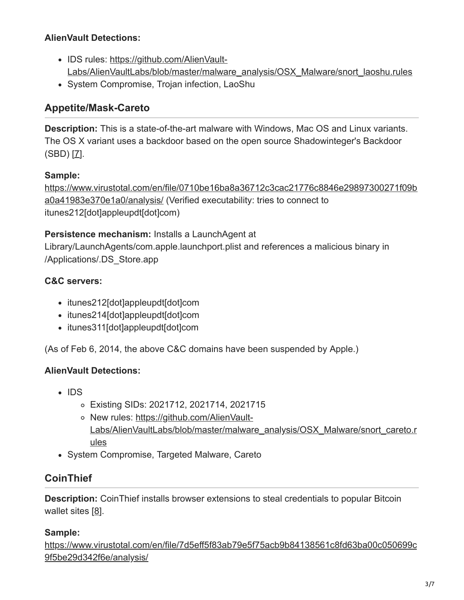#### **AlienVault Detections:**

- IDS rules: https://github.com/AlienVault-[Labs/AlienVaultLabs/blob/master/malware\\_analysis/OSX\\_Malware/snort\\_laoshu.rules](https://github.com/AlienVault-Labs/AlienVaultLabs/blob/master/malware_analysis/OSX_Malware/snort_laoshu.rules)
- System Compromise, Trojan infection, LaoShu

## **Appetite/Mask-Careto**

**Description:** This is a state-of-the-art malware with Windows, Mac OS and Linux variants. The OS X variant uses a backdoor based on the open source Shadowinteger's Backdoor  $(SBD)$   $[7]$ .

#### **Sample:**

[https://www.virustotal.com/en/file/0710be16ba8a36712c3cac21776c8846e29897300271f09b](https://www.virustotal.com/en/file/0710be16ba8a36712c3cac21776c8846e29897300271f09ba0a41983e370e1a0/analysis/) a0a41983e370e1a0/analysis/ (Verified executability: tries to connect to itunes212[dot]appleupdt[dot]com)

#### **Persistence mechanism:** Installs a LaunchAgent at

Library/LaunchAgents/com.apple.launchport.plist and references a malicious binary in /Applications/.DS\_Store.app

### **C&C servers:**

- itunes212[dot]appleupdt[dot]com
- itunes214[dot]appleupdt[dot]com
- itunes311[dot]appleupdt[dot]com

(As of Feb 6, 2014, the above C&C domains have been suspended by Apple.)

#### **AlienVault Detections:**

- $\cdot$  IDS
	- Existing SIDs: 2021712, 2021714, 2021715
	- o New rules: https://github.com/AlienVault-[Labs/AlienVaultLabs/blob/master/malware\\_analysis/OSX\\_Malware/snort\\_careto.r](https://github.com/AlienVault-Labs/AlienVaultLabs/blob/master/malware_analysis/OSX_Malware/snort_careto.rules) ules
- System Compromise, Targeted Malware, Careto

## **CoinThief**

**Description:** CoinThief installs browser extensions to steal credentials to popular Bitcoin wallet sites [\[8](http://www.securemac.com/privacyscan/new-apple-mac-trojan-called-osxcointhief-discovered)].

#### **Sample:**

[https://www.virustotal.com/en/file/7d5eff5f83ab79e5f75acb9b84138561c8fd63ba00c050699c](https://www.virustotal.com/en/file/7d5eff5f83ab79e5f75acb9b84138561c8fd63ba00c050699c9f5be29d342f6e/analysis/) 9f5be29d342f6e/analysis/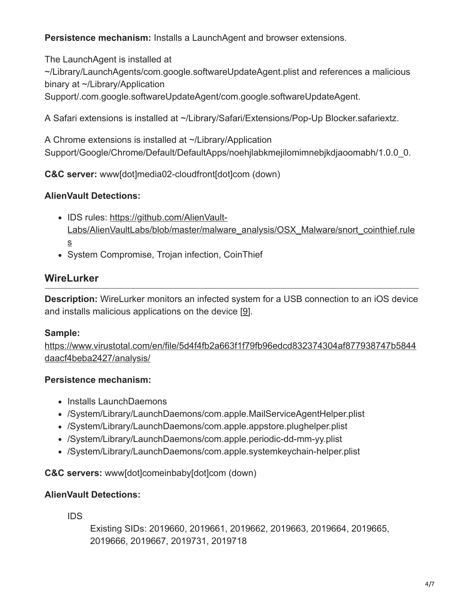**Persistence mechanism:** Installs a LaunchAgent and browser extensions.

The LaunchAgent is installed at

~/Library/LaunchAgents/com.google.softwareUpdateAgent.plist and references a malicious binary at ~/Library/Application

Support/.com.google.softwareUpdateAgent/com.google.softwareUpdateAgent.

A Safari extensions is installed at ~/Library/Safari/Extensions/Pop-Up Blocker.safariextz.

A Chrome extensions is installed at ~/Library/Application Support/Google/Chrome/Default/DefaultApps/noehjlabkmejilomimnebjkdjaoomabh/1.0.0\_0.

**C&C server:** www[dot]media02-cloudfront[dot]com (down)

## **AlienVault Detections:**

- IDS rules: https://github.com/AlienVault-[Labs/AlienVaultLabs/blob/master/malware\\_analysis/OSX\\_Malware/snort\\_cointhief.rule](https://github.com/AlienVault-Labs/AlienVaultLabs/blob/master/malware_analysis/OSX_Malware/snort_cointhief.rules) s
- System Compromise, Trojan infection, CoinThief

## **WireLurker**

**Description:** WireLurker monitors an infected system for a USB connection to an iOS device and installs malicious applications on the device [\[9](https://www.paloaltonetworks.com/content/dam/pan/en_US/assets/pdf/reports/Unit_42/unit42-wirelurker.pdf)].

## **Sample:**

[https://www.virustotal.com/en/file/5d4f4fb2a663f1f79fb96edcd832374304af877938747b5844](https://www.virustotal.com/en/file/5d4f4fb2a663f1f79fb96edcd832374304af877938747b5844daacf4beba2427/analysis/) daacf4beba2427/analysis/

## **Persistence mechanism:**

- Installs LaunchDaemons
- /System/Library/LaunchDaemons/com.apple.MailServiceAgentHelper.plist
- /System/Library/LaunchDaemons/com.apple.appstore.plughelper.plist
- /System/Library/LaunchDaemons/com.apple.periodic-dd-mm-yy.plist
- /System/Library/LaunchDaemons/com.apple.systemkeychain-helper.plist

#### **C&C servers:** www[dot]comeinbaby[dot]com (down)

## **AlienVault Detections:**

IDS

Existing SIDs: 2019660, 2019661, 2019662, 2019663, 2019664, 2019665, 2019666, 2019667, 2019731, 2019718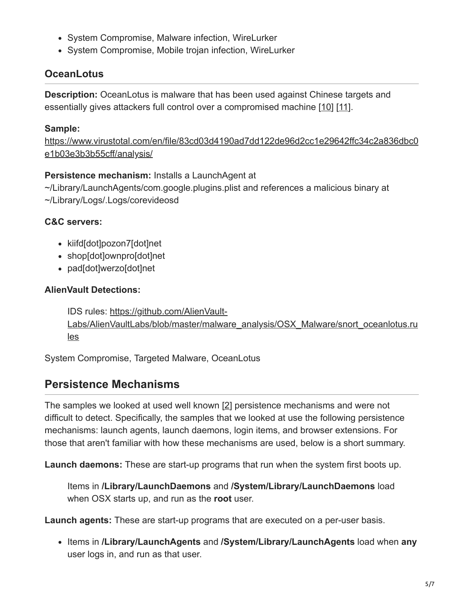- System Compromise, Malware infection, WireLurker
- System Compromise, Mobile trojan infection, WireLurker

## **OceanLotus**

**Description:** OceanLotus is malware that has been used against Chinese targets and essentially gives attackers full control over a compromised machine [[10](https://www.alienvault.com/blogs/labs-research/oceanlotus-for-os-x-an-application-bundle-pretending-to-be-an-adobe-flash-update)] [\[11\]](http://www.thesafemac.com/oceanlotus-malware-attacks-china/).

#### **Sample:**

[https://www.virustotal.com/en/file/83cd03d4190ad7dd122de96d2cc1e29642ffc34c2a836dbc0](https://www.virustotal.com/en/file/83cd03d4190ad7dd122de96d2cc1e29642ffc34c2a836dbc0e1b03e3b3b55cff/analysis/) e1b03e3b3b55cff/analysis/

#### **Persistence mechanism:** Installs a LaunchAgent at

~/Library/LaunchAgents/com.google.plugins.plist and references a malicious binary at ~/Library/Logs/.Logs/corevideosd

#### **C&C servers:**

- kiifd[dot]pozon7[dot]net
- shop[dot]ownpro[dot]net
- pad[dot]werzo[dot]net

#### **AlienVault Detections:**

IDS rules: https://github.com/AlienVault-[Labs/AlienVaultLabs/blob/master/malware\\_analysis/OSX\\_Malware/snort\\_oceanlotus.ru](https://github.com/AlienVault-Labs/AlienVaultLabs/blob/master/malware_analysis/OSX_Malware/snort_oceanlotus.rules) les

System Compromise, Targeted Malware, OceanLotus

## **Persistence Mechanisms**

The samples we looked at used well known [\[2](https://www.virusbulletin.com/uploads/pdf/conference/vb2014/VB2014-Wardle.pdf)] persistence mechanisms and were not difficult to detect. Specifically, the samples that we looked at use the following persistence mechanisms: launch agents, launch daemons, login items, and browser extensions. For those that aren't familiar with how these mechanisms are used, below is a short summary.

**Launch daemons:** These are start-up programs that run when the system first boots up.

Items in **/Library/LaunchDaemons** and **/System/Library/LaunchDaemons** load when OSX starts up, and run as the **root** user.

**Launch agents:** These are start-up programs that are executed on a per-user basis.

Items in **/Library/LaunchAgents** and **/System/Library/LaunchAgents** load when **any** user logs in, and run as that user.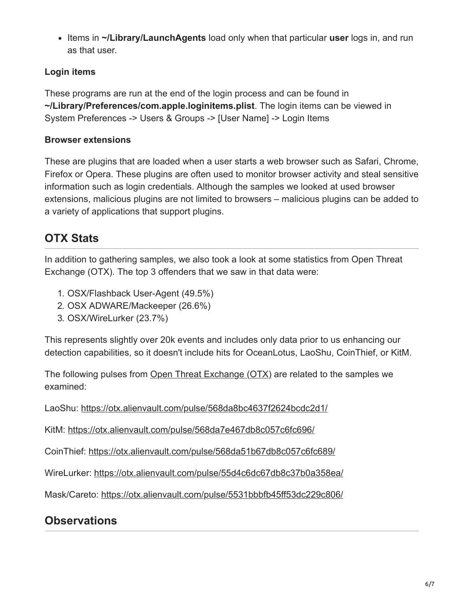Items in **~/Library/LaunchAgents** load only when that particular **user** logs in, and run as that user.

## **Login items**

These programs are run at the end of the login process and can be found in **~/Library/Preferences/com.apple.loginitems.plist**. The login items can be viewed in System Preferences -> Users & Groups -> [User Name] -> Login Items

### **Browser extensions**

These are plugins that are loaded when a user starts a web browser such as Safari, Chrome, Firefox or Opera. These plugins are often used to monitor browser activity and steal sensitive information such as login credentials. Although the samples we looked at used browser extensions, malicious plugins are not limited to browsers – malicious plugins can be added to a variety of applications that support plugins.

# **OTX Stats**

In addition to gathering samples, we also took a look at some statistics from Open Threat Exchange (OTX). The top 3 offenders that we saw in that data were:

- 1. OSX/Flashback User-Agent (49.5%)
- 2. OSX ADWARE/Mackeeper (26.6%)
- 3. OSX/WireLurker (23.7%)

This represents slightly over 20k events and includes only data prior to us enhancing our detection capabilities, so it doesn't include hits for OceanLotus, LaoShu, CoinThief, or KitM.

The following pulses from [Open Threat Exchange \(OTX\)](https://www.alienvault.com/open-threat-exchange) are related to the samples we examined:

LaoShu: <https://otx.alienvault.com/pulse/568da8bc4637f2624bcdc2d1/>

KitM: <https://otx.alienvault.com/pulse/568da7e467db8c057c6fc696/>

CoinThief: <https://otx.alienvault.com/pulse/568da51b67db8c057c6fc689/>

WireLurker:<https://otx.alienvault.com/pulse/55d4c6dc67db8c37b0a358ea/>

Mask/Careto: <https://otx.alienvault.com/pulse/5531bbbfb45ff53dc229c806/>

## **Observations**